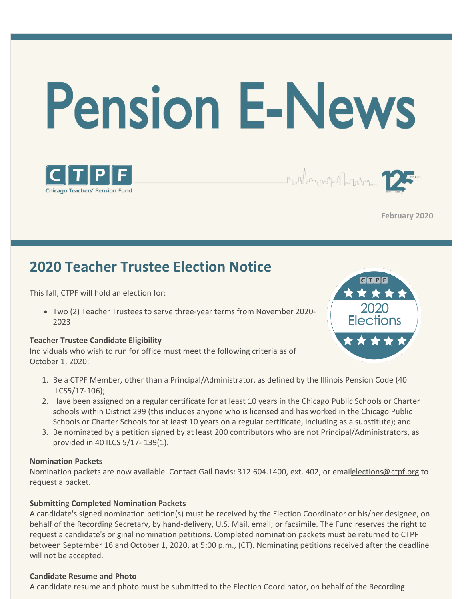





**February 2020**

# **2020 Teacher Trustee Election Notice**

This fall, CTPF will hold an election for:

Two (2) Teacher Trustees to serve three-year terms from November 2020- 2023

#### **Teacher Trustee Candidate Eligibility**

Individuals who wish to run for office must meet the following criteria as of October 1, 2020:



- 1. Be a CTPF Member, other than a Principal/Administrator, as defined by the Illinois Pension Code (40 ILCS5/17-106);
- 2. Have been assigned on a regular certificate for at least 10 years in the Chicago Public Schools or Charter schools within District 299 (this includes anyone who is licensed and has worked in the Chicago Public Schools or Charter Schools for at least 10 years on a regular certificate, including as a substitute); and
- 3. Be nominated by a petition signed by at least 200 contributors who are not Principal/Administrators, as provided in 40 ILCS 5/17- 139(1).

#### **Nomination Packets**

Nomination packets are now available. Contact Gail Davis: 312.604.1400, ext. 402, or emailelections@ctpf.org to request a packet.

#### **Submitting Completed Nomination Packets**

A candidate's signed nomination petition(s) must be received by the Election Coordinator or his/her designee, on behalf of the Recording Secretary, by hand-delivery, U.S. Mail, email, or facsimile. The Fund reserves the right to request a candidate's original nomination petitions. Completed nomination packets must be returned to CTPF between September 16 and October 1, 2020, at 5:00 p.m., (CT). Nominating petitions received after the deadline will not be accepted.

#### **Candidate Resume and Photo**

A candidate resume and photo must be submitted to the Election Coordinator, on behalf of the Recording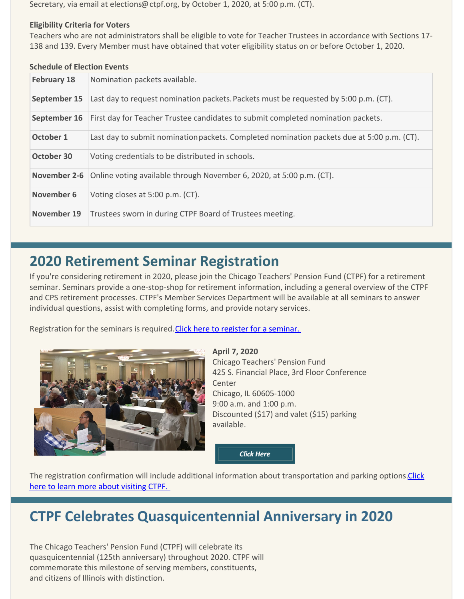Secretary, via email at elections@ctpf.org, by October 1, 2020, at 5:00 p.m. (CT).

#### **Eligibility Criteria for Voters**

Teachers who are not administrators shall be eligible to vote for Teacher Trustees in accordance with Sections 17- 138 and 139. Every Member must have obtained that voter eligibility status on or before October 1, 2020.

#### **Schedule of Election Events**

| <b>February 18</b> | Nomination packets available.                                                              |  |  |
|--------------------|--------------------------------------------------------------------------------------------|--|--|
| September 15       | Last day to request nomination packets. Packets must be requested by 5:00 p.m. (CT).       |  |  |
| September 16       | First day for Teacher Trustee candidates to submit completed nomination packets.           |  |  |
| October 1          | Last day to submit nomination packets. Completed nomination packets due at 5:00 p.m. (CT). |  |  |
| October 30         | Voting credentials to be distributed in schools.                                           |  |  |
| November 2-6       | Online voting available through November 6, 2020, at 5:00 p.m. (CT).                       |  |  |
| November 6         | Voting closes at 5:00 p.m. (CT).                                                           |  |  |
| November 19        | Trustees sworn in during CTPF Board of Trustees meeting.                                   |  |  |

### **2020 Retirement Seminar Registration**

If you're considering retirement in 2020, please join the Chicago Teachers' Pension Fund (CTPF) for a retirement seminar. Seminars provide a one-stop-shop for retirement information, including a general overview of the CTPF and CPS retirement processes. CTPF's Member Services Department will be available at all seminars to answer individual questions, assist with completing forms, and provide notary services.

Registration for the seminars is required[. Click here to register for a seminar.](https://docs.google.com/forms/d/1R4DuAevsSPip_AwctEoBtaDL69PpSrnfqxkGBOrw0lU/viewform?edit_requested=true) 



**April 7, 2020** Chicago Teachers' Pension Fund 425 S. Financial Place, 3rd Floor Conference Center Chicago, IL 60605-1000 9:00 a.m. and 1:00 p.m. Discounted (\$17) and valet (\$15) parking available.

**Click Here** 

[The registration confirmation will include additional information about transportation and parking options. Click](https://www.ctpf.org/office-information) here to learn more about visiting CTPF.

### **CTPF Celebrates Quasquicentennial Anniversary in 2020**

The Chicago Teachers' Pension Fund (CTPF) will celebrate its quasquicentennial (125th anniversary) throughout 2020. CTPF will commemorate this milestone of serving members, constituents, and citizens of Illinois with distinction.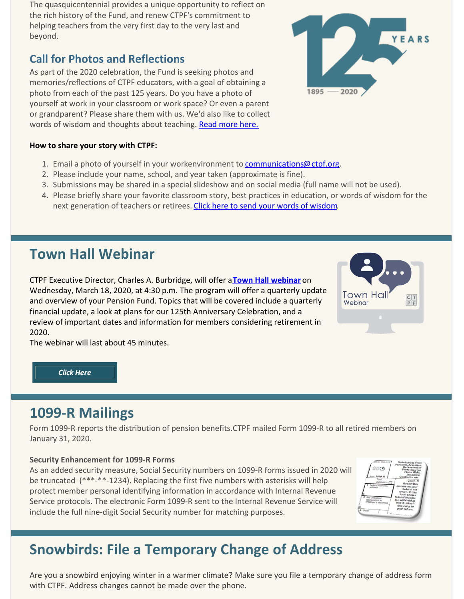The quasquicentennial provides a unique opportunity to reflect on the rich history of the Fund, and renew CTPF's commitment to helping teachers from the very first day to the very last and beyond.

### **Call for Photos and Reflections**

As part of the 2020 celebration, the Fund is seeking photos and memories/reflections of CTPF educators, with a goal of obtaining a photo from each of the past 125 years. Do you have a photo of yourself at work in your classroom or work space? Or even a parent or grandparent? Please share them with us. We'd also like to collect words of wisdom and thoughts about teaching. [Read more here.](https://www.ctpf.org/ctpf125)

#### **How to share your story with CTPF:**

- 1. Email a photo of yourself in your workenvironment to [communications@ctpf.org](mailto:communications@ctpf.org).
- 2. Please include your name, school, and year taken (approximate is fine).
- 3. Submissions may be shared in a special slideshow and on social media (full name will not be used).
- 4. Please briefly share your favorite classroom story, best practices in education, or words of wisdom for the next generation of teachers or retirees. [Click here to send your words of wisdom](https://docs.google.com/forms/d/e/1FAIpQLScpnGIPRvQ88OJep_QAyIM-8pMSYz80eDFwURTIKoC8okTFOA/viewform).

# **Town Hall Webinar**

CTPF Executive Director, Charles A. Burbridge, will offer a **[Town Hall webinar](https://register.gotowebinar.com/register/1996869650834528267)** on Wednesday, March 18, 2020, at 4:30 p.m. The program will offer a quarterly update and overview of your Pension Fund. Topics that will be covered include a quarterly financial update, a look at plans for our 125th Anniversary Celebration, and a review of important dates and information for members considering retirement in 2020.

The webinar will last about 45 minutes.

**Click Here** 

### **1099-R Mailings**

Form 1099-R reports the distribution of pension benefits. CTPF mailed Form 1099-R to all retired members on January 31, 2020.

#### **Security Enhancement for 1099-R Forms**

As an added security measure, Social Security numbers on 1099-R forms issued in 2020 will be truncated (\*\*\*-\*\*-1234). Replacing the first five numbers with asterisks will help protect member personal identifying information in accordance with Internal Revenue Service protocols. The electronic Form 1099-R sent to the Internal Revenue Service will include the full nine-digit Social Security number for matching purposes.

# **Snowbirds: File a Temporary Change of Address**

Are you a snowbird enjoying winter in a warmer climate? Make sure you file a temporary change of address form with CTPF. Address changes cannot be made over the phone.





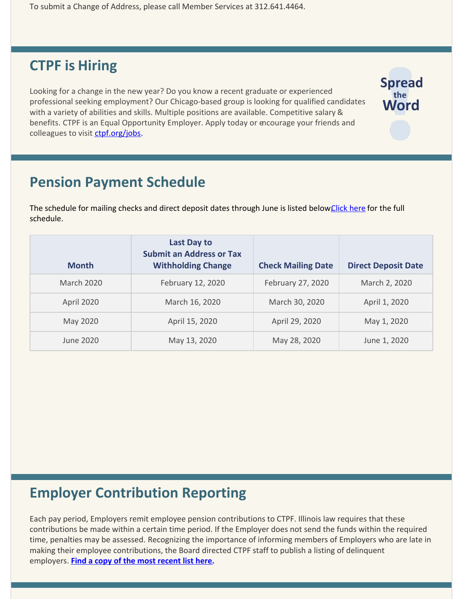To submit a Change of Address, please call Member Services at 312.641.4464.

### **CTPF is Hiring**

Looking for a change in the new year? Do you know a recent graduate or experienced professional seeking employment? Our Chicago-based group is looking for qualified candidates with a variety of abilities and skills. Multiple positions are available. Competitive salary & benefits. CTPF is an Equal Opportunity Employer. Apply today or encourage your friends and colleagues to visit [ctpf.org/jobs](http://www.ctpf.org/jobs).

**Spread** the **Word** 

### **Pension Payment Schedule**

The schedule for mailing checks and direct deposit dates through June is listed below Click here for the full schedule.

| <b>Month</b>      | <b>Last Day to</b><br><b>Submit an Address or Tax</b><br><b>Withholding Change</b> | <b>Check Mailing Date</b> | <b>Direct Deposit Date</b> |
|-------------------|------------------------------------------------------------------------------------|---------------------------|----------------------------|
| <b>March 2020</b> | February 12, 2020                                                                  | February 27, 2020         | March 2, 2020              |
| April 2020        | March 16, 2020                                                                     | March 30, 2020            | April 1, 2020              |
| May 2020          | April 15, 2020                                                                     | April 29, 2020            | May 1, 2020                |
| June 2020         | May 13, 2020                                                                       | May 28, 2020              | June 1, 2020               |

# **Employer Contribution Reporting**

Each pay period, Employers remit employee pension contributions to CTPF. Illinois law requires that these contributions be made within a certain time period. If the Employer does not send the funds within the required time, penalties may be assessed. Recognizing the importance of informing members of Employers who are late in making their employee contributions, the Board directed CTPF staff to publish a listing of delinquent employers. **[Find a copy of the most recent list here](http://ctpf.org/employer-contribution-reporting).**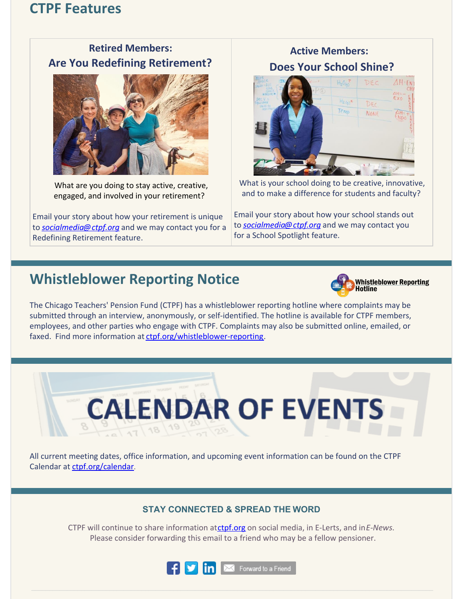### **CTPF Features**

### **Retired Members: Are You Redefining Retirement?**



What are you doing to stay active, creative, engaged, and involved in your retirement?

Email your story about how your retirement is unique to *[socialmedia@ctpf.org](mailto:socialmedia@ctpf.org)* and we may contact you for a Redefining Retirement feature.

### **Active Members: Does Your School Shine?**



What is your school doing to be creative, innovative, and to make a difference for students and faculty?

Email your story about how your school stands out to *[socialmedia@ctpf.org](mailto:socialmedia@ctpf.org)* and we may contact you for a School Spotlight feature.

# **Whistleblower Reporting Notice**



The Chicago Teachers' Pension Fund (CTPF) has a whistleblower reporting hotline where complaints may be submitted through an interview, anonymously, or self-identified. The hotline is available for CTPF members, employees, and other parties who engage with CTPF. Complaints may also be submitted online, emailed, or faxed. Find more information at [ctpf.org/whistleblower-reporting](http://ctpf.org/whistleblower-reporting).

**CALENDAR OF EVENTS**  $\sqrt{7}$  18

All current meeting dates, office information, and upcoming event information can be found on the CTPF Calendar at [ctpf.org/calendar](http://www.ctpf.org/calendar).

### **STAY CONNECTED & SPREAD THE WORD**

CTPF will continue to share information at [ctpf.org](http://www.ctpf.org) on social media, in E-Lerts, and in *E-News*. Please consider forwarding this email to a friend who may be a fellow pensioner.